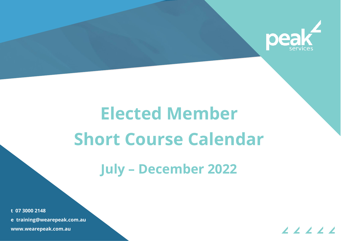

## **Elected Member Short Course Calendar**

## **July – December 2022**

t 07 3000 2148 e training@wearepeak.com.au www.wearepeak.com.au

**t 07 3000 2148**

**e training@wearepeak.com.au**

**www.wearepeak.com.au** 

 $22222$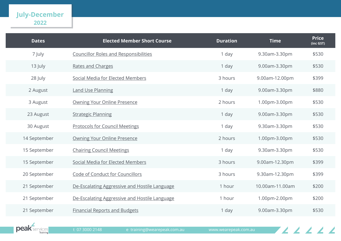| <b>Dates</b> | <b>Elected Member Short Course</b>            | <b>Duration</b> | <b>Time</b>     | <b>Price</b><br>(inc GST) |
|--------------|-----------------------------------------------|-----------------|-----------------|---------------------------|
| 7 July       | <b>Councillor Roles and Responsibilities</b>  | 1 day           | 9.30am-3.30pm   | \$530                     |
| 13 July      | <b>Rates and Charges</b>                      | 1 day           | 9.00am-3.30pm   | \$530                     |
| 28 July      | Social Media for Elected Members              | 3 hours         | 9.00am-12.00pm  | \$399                     |
| 2 August     | <b>Land Use Planning</b>                      | 1 day           | 9.00am-3.30pm   | \$880                     |
| 3 August     | Owning Your Online Presence                   | 2 hours         | 1.00pm-3.00pm   | \$530                     |
| 23 August    | <b>Strategic Planning</b>                     | 1 day           | 9.00am-3.30pm   | \$530                     |
| 30 August    | <b>Protocols for Council Meetings</b>         | 1 day           | 9.30am-3.30pm   | \$530                     |
| 14 September | Owning Your Online Presence                   | 2 hours         | 1.00pm-3.00pm   | \$530                     |
| 15 September | <b>Chairing Council Meetings</b>              | 1 day           | 9.30am-3.30pm   | \$530                     |
| 15 September | Social Media for Elected Members              | 3 hours         | 9.00am-12.30pm  | \$399                     |
| 20 September | Code of Conduct for Councillors               | 3 hours         | 9.30am-12.30pm  | \$399                     |
| 21 September | De-Escalating Aggressive and Hostile Language | 1 hour          | 10.00am-11.00am | \$200                     |
| 21 September | De-Escalating Aggressive and Hostile Language | 1 hour          | 1.00pm-2.00pm   | \$200                     |
| 21 September | <b>Financial Reports and Budgets</b>          | 1 day           | 9.00am-3.30pm   | \$530                     |